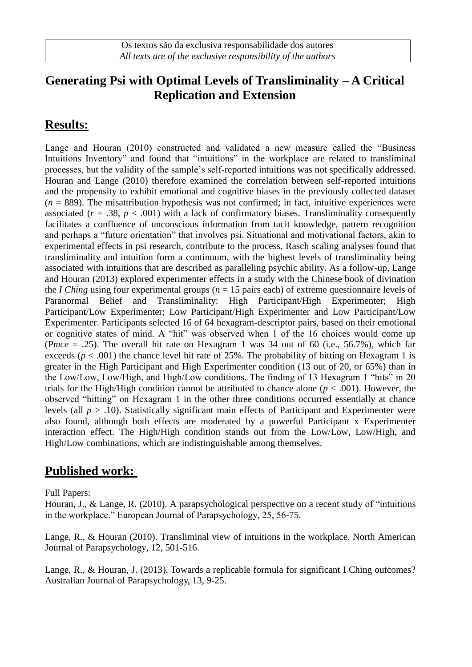### **Generating Psi with Optimal Levels of Transliminality – A Critical Replication and Extension**

# **Results:**

Lange and Houran (2010) constructed and validated a new measure called the "Business Intuitions Inventory" and found that "intuitions" in the workplace are related to transliminal processes, but the validity of the sample's self-reported intuitions was not specifically addressed. Houran and Lange (2010) therefore examined the correlation between self-reported intuitions and the propensity to exhibit emotional and cognitive biases in the previously collected dataset  $(n = 889)$ . The misattribution hypothesis was not confirmed; in fact, intuitive experiences were associated  $(r = .38, p < .001)$  with a lack of confirmatory biases. Transliminality consequently facilitates a confluence of unconscious information from tacit knowledge, pattern recognition and perhaps a "future orientation" that involves psi. Situational and motivational factors, akin to experimental effects in psi research, contribute to the process. Rasch scaling analyses found that transliminality and intuition form a continuum, with the highest levels of transliminality being associated with intuitions that are described as paralleling psychic ability. As a follow-up, Lange and Houran (2013) explored experimenter effects in a study with the Chinese book of divination the *I Ching* using four experimental groups (*n* = 15 pairs each) of extreme questionnaire levels of Paranormal Belief and Transliminality: High Participant/High Experimenter; High Participant/Low Experimenter; Low Participant/High Experimenter and Low Participant/Low Experimenter. Participants selected 16 of 64 hexagram-descriptor pairs, based on their emotional or cognitive states of mind. A "hit" was observed when 1 of the 16 choices would come up (P*mce* = .25). The overall hit rate on Hexagram 1 was 34 out of 60 (i.e., 56.7%), which far exceeds ( $p < .001$ ) the chance level hit rate of 25%. The probability of hitting on Hexagram 1 is greater in the High Participant and High Experimenter condition (13 out of 20, or 65%) than in the Low/Low, Low/High, and High/Low conditions. The finding of 13 Hexagram 1 "hits" in 20 trials for the High/High condition cannot be attributed to chance alone  $(p < .001)$ . However, the observed "hitting" on Hexagram 1 in the other three conditions occurred essentially at chance levels (all *p* > .10). Statistically significant main effects of Participant and Experimenter were also found, although both effects are moderated by a powerful Participant x Experimenter interaction effect. The High/High condition stands out from the Low/Low, Low/High, and High/Low combinations, which are indistinguishable among themselves.

## **Published work:**

#### Full Papers:

Houran, J., & Lange, R. (2010). A parapsychological perspective on a recent study of "intuitions in the workplace." European Journal of Parapsychology, 25, 56-75.

Lange, R., & Houran (2010). Transliminal view of intuitions in the workplace. North American Journal of Parapsychology, 12, 501-516.

Lange, R., & Houran, J. (2013). Towards a replicable formula for significant I Ching outcomes? Australian Journal of Parapsychology, 13, 9-25.